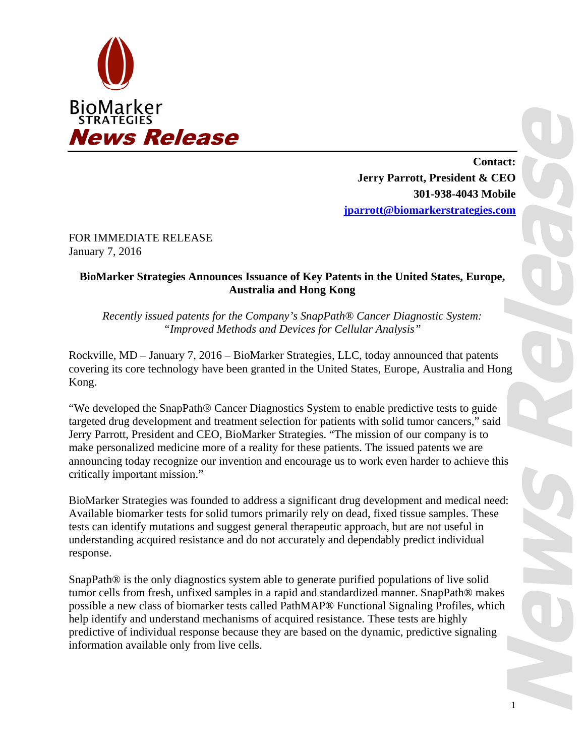

**Contact: Jerry Parrott, President & CEO 301-938-4043 Mobile jparrott@biomarkerstrategies.com**

FOR IMMEDIATE RELEASE January 7, 2016

## **BioMarker Strategies Announces Issuance of Key Patents in the United States, Europe, Australia and Hong Kong**

*Recently issued patents for the Company's SnapPath® Cancer Diagnostic System: "Improved Methods and Devices for Cellular Analysis"* 

Rockville, MD – January 7, 2016 – BioMarker Strategies, LLC, today announced that patents covering its core technology have been granted in the United States, Europe, Australia and Hong Kong.

"We developed the SnapPath® Cancer Diagnostics System to enable predictive tests to guide targeted drug development and treatment selection for patients with solid tumor cancers," said Jerry Parrott, President and CEO, BioMarker Strategies. "The mission of our company is to make personalized medicine more of a reality for these patients. The issued patents we are announcing today recognize our invention and encourage us to work even harder to achieve this critically important mission."

BioMarker Strategies was founded to address a significant drug development and medical need: Available biomarker tests for solid tumors primarily rely on dead, fixed tissue samples. These tests can identify mutations and suggest general therapeutic approach, but are not useful in understanding acquired resistance and do not accurately and dependably predict individual response.

SnapPath® is the only diagnostics system able to generate purified populations of live solid tumor cells from fresh, unfixed samples in a rapid and standardized manner. SnapPath® makes possible a new class of biomarker tests called PathMAP® Functional Signaling Profiles, which help identify and understand mechanisms of acquired resistance. These tests are highly predictive of individual response because they are based on the dynamic, predictive signaling information available only from live cells.